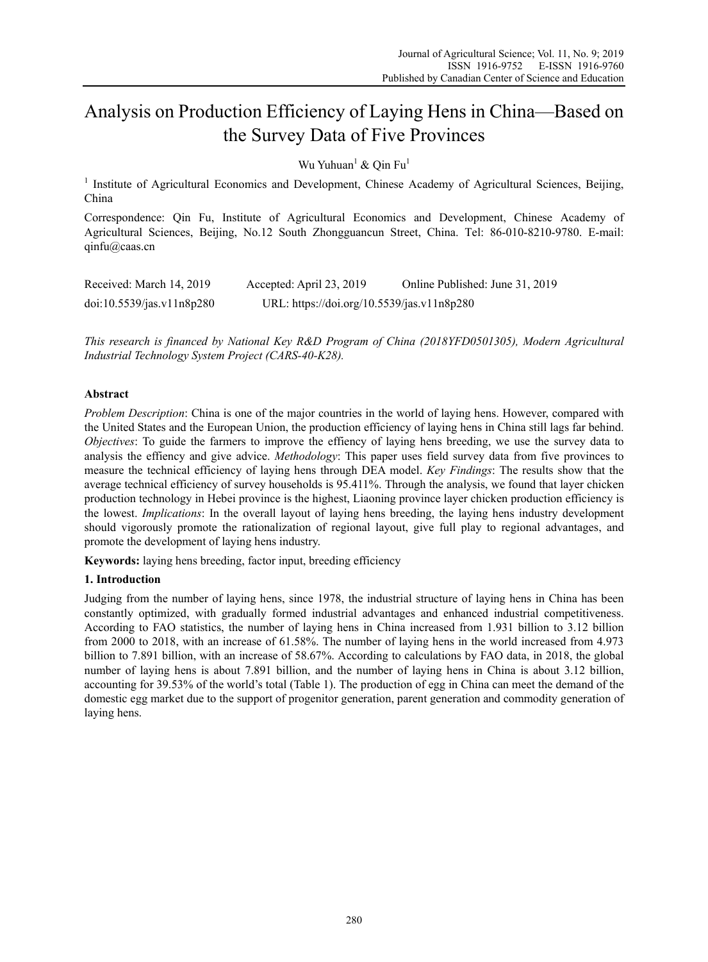# Analysis on Production Efficiency of Laying Hens in China—Based on the Survey Data of Five Provinces

Wu Yuhuan<sup>1</sup> & Qin Fu<sup>1</sup>

<sup>1</sup> Institute of Agricultural Economics and Development, Chinese Academy of Agricultural Sciences, Beijing, China

Correspondence: Qin Fu, Institute of Agricultural Economics and Development, Chinese Academy of Agricultural Sciences, Beijing, No.12 South Zhongguancun Street, China. Tel: 86-010-8210-9780. E-mail: qinfu@caas.cn

| Received: March 14, 2019  | Accepted: April 23, 2019                   | Online Published: June 31, 2019 |
|---------------------------|--------------------------------------------|---------------------------------|
| doi:10.5539/jas.v11n8p280 | URL: https://doi.org/10.5539/jas.v11n8p280 |                                 |

*This research is financed by National Key R&D Program of China (2018YFD0501305), Modern Agricultural Industrial Technology System Project (CARS-40-K28).* 

# **Abstract**

*Problem Description*: China is one of the major countries in the world of laying hens. However, compared with the United States and the European Union, the production efficiency of laying hens in China still lags far behind. *Objectives*: To guide the farmers to improve the effiency of laying hens breeding, we use the survey data to analysis the effiency and give advice. *Methodology*: This paper uses field survey data from five provinces to measure the technical efficiency of laying hens through DEA model. *Key Findings*: The results show that the average technical efficiency of survey households is 95.411%. Through the analysis, we found that layer chicken production technology in Hebei province is the highest, Liaoning province layer chicken production efficiency is the lowest. *Implications*: In the overall layout of laying hens breeding, the laying hens industry development should vigorously promote the rationalization of regional layout, give full play to regional advantages, and promote the development of laying hens industry.

**Keywords:** laying hens breeding, factor input, breeding efficiency

# **1. Introduction**

Judging from the number of laying hens, since 1978, the industrial structure of laying hens in China has been constantly optimized, with gradually formed industrial advantages and enhanced industrial competitiveness. According to FAO statistics, the number of laying hens in China increased from 1.931 billion to 3.12 billion from 2000 to 2018, with an increase of 61.58%. The number of laying hens in the world increased from 4.973 billion to 7.891 billion, with an increase of 58.67%. According to calculations by FAO data, in 2018, the global number of laying hens is about 7.891 billion, and the number of laying hens in China is about 3.12 billion, accounting for 39.53% of the world's total (Table 1). The production of egg in China can meet the demand of the domestic egg market due to the support of progenitor generation, parent generation and commodity generation of laying hens.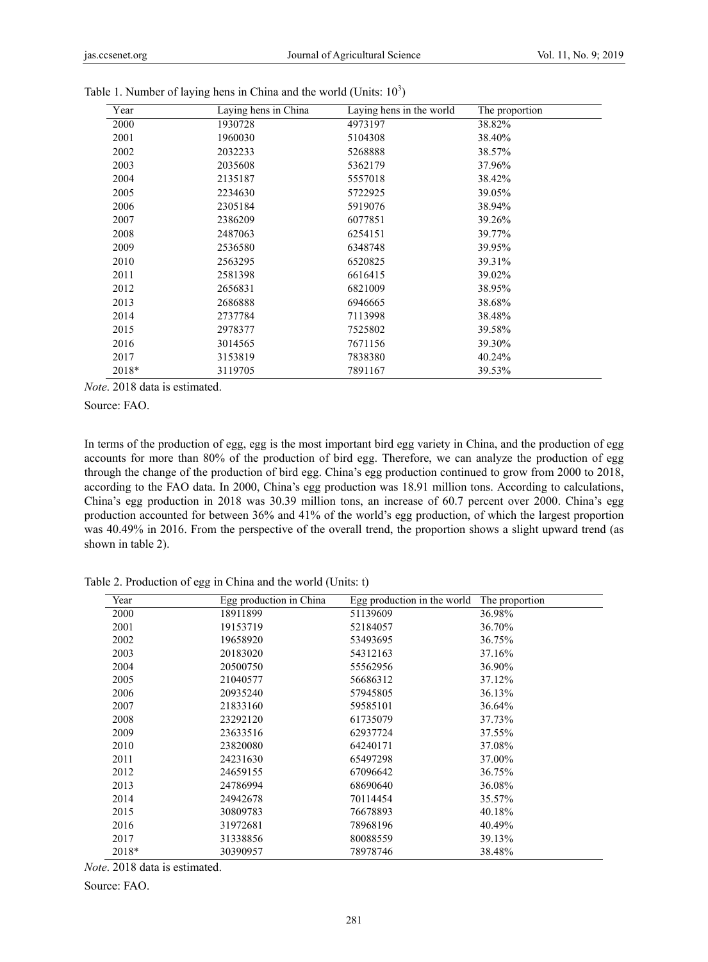| Year  | Laying hens in China | Laying hens in the world | The proportion |
|-------|----------------------|--------------------------|----------------|
| 2000  | 1930728              | 4973197                  | 38.82%         |
| 2001  | 1960030              | 5104308                  | 38.40%         |
| 2002  | 2032233              | 5268888                  | 38.57%         |
| 2003  | 2035608              | 5362179                  | 37.96%         |
| 2004  | 2135187              | 5557018                  | 38.42%         |
| 2005  | 2234630              | 5722925                  | 39.05%         |
| 2006  | 2305184              | 5919076                  | 38.94%         |
| 2007  | 2386209              | 6077851                  | 39.26%         |
| 2008  | 2487063              | 6254151                  | 39.77%         |
| 2009  | 2536580              | 6348748                  | 39.95%         |
| 2010  | 2563295              | 6520825                  | 39.31%         |
| 2011  | 2581398              | 6616415                  | 39.02%         |
| 2012  | 2656831              | 6821009                  | 38.95%         |
| 2013  | 2686888              | 6946665                  | 38.68%         |
| 2014  | 2737784              | 7113998                  | 38.48%         |
| 2015  | 2978377              | 7525802                  | 39.58%         |
| 2016  | 3014565              | 7671156                  | 39.30%         |
| 2017  | 3153819              | 7838380                  | 40.24%         |
| 2018* | 3119705              | 7891167                  | 39.53%         |
|       |                      |                          |                |

| Table 1. Number of laying hens in China and the world (Units: $10^3$ ) |  |  |
|------------------------------------------------------------------------|--|--|

*Note*. 2018 data is estimated.

Source: FAO.

In terms of the production of egg, egg is the most important bird egg variety in China, and the production of egg accounts for more than 80% of the production of bird egg. Therefore, we can analyze the production of egg through the change of the production of bird egg. China's egg production continued to grow from 2000 to 2018, according to the FAO data. In 2000, China's egg production was 18.91 million tons. According to calculations, China's egg production in 2018 was 30.39 million tons, an increase of 60.7 percent over 2000. China's egg production accounted for between 36% and 41% of the world's egg production, of which the largest proportion was 40.49% in 2016. From the perspective of the overall trend, the proportion shows a slight upward trend (as shown in table 2).

Table 2. Production of egg in China and the world (Units: t)

| Year  | Egg production in China | Egg production in the world | The proportion |
|-------|-------------------------|-----------------------------|----------------|
| 2000  | 18911899                | 51139609                    | 36.98%         |
| 2001  | 19153719                | 52184057                    | 36.70%         |
| 2002  | 19658920                | 53493695                    | 36.75%         |
| 2003  | 20183020                | 54312163                    | 37.16%         |
| 2004  | 20500750                | 55562956                    | 36.90%         |
| 2005  | 21040577                | 56686312                    | 37.12%         |
| 2006  | 20935240                | 57945805                    | 36.13%         |
| 2007  | 21833160                | 59585101                    | 36.64%         |
| 2008  | 23292120                | 61735079                    | 37.73%         |
| 2009  | 23633516                | 62937724                    | 37.55%         |
| 2010  | 23820080                | 64240171                    | 37.08%         |
| 2011  | 24231630                | 65497298                    | 37.00%         |
| 2012  | 24659155                | 67096642                    | 36.75%         |
| 2013  | 24786994                | 68690640                    | 36.08%         |
| 2014  | 24942678                | 70114454                    | 35.57%         |
| 2015  | 30809783                | 76678893                    | 40.18%         |
| 2016  | 31972681                | 78968196                    | 40.49%         |
| 2017  | 31338856                | 80088559                    | 39.13%         |
| 2018* | 30390957                | 78978746                    | 38.48%         |

*Note*. 2018 data is estimated.

Source: FAO.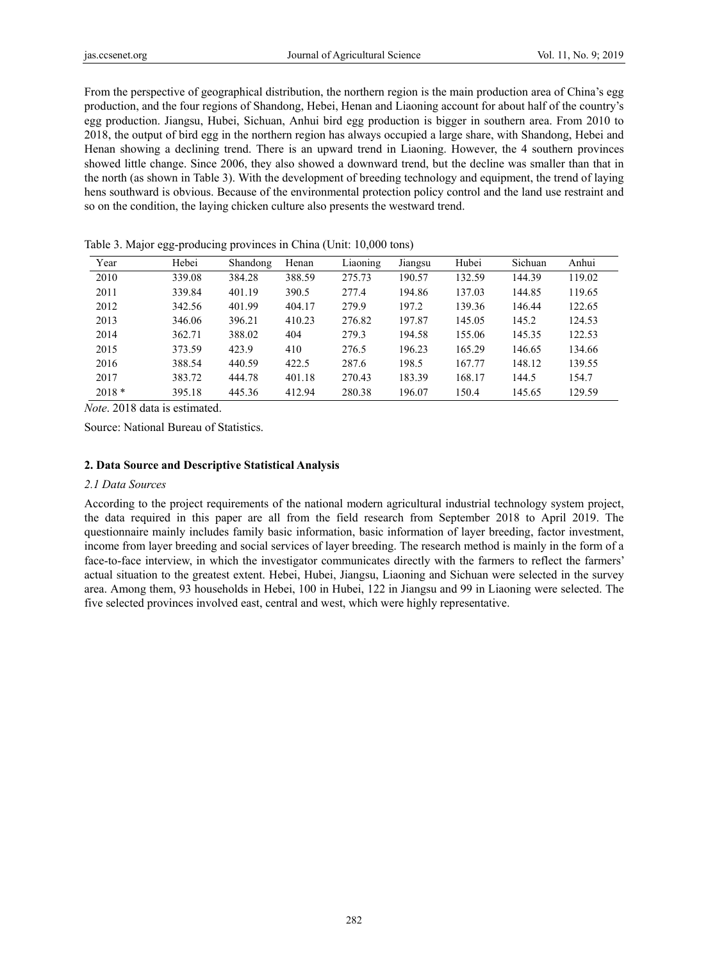From the perspective of geographical distribution, the northern region is the main production area of China's egg production, and the four regions of Shandong, Hebei, Henan and Liaoning account for about half of the country's egg production. Jiangsu, Hubei, Sichuan, Anhui bird egg production is bigger in southern area. From 2010 to 2018, the output of bird egg in the northern region has always occupied a large share, with Shandong, Hebei and Henan showing a declining trend. There is an upward trend in Liaoning. However, the 4 southern provinces showed little change. Since 2006, they also showed a downward trend, but the decline was smaller than that in the north (as shown in Table 3). With the development of breeding technology and equipment, the trend of laying hens southward is obvious. Because of the environmental protection policy control and the land use restraint and so on the condition, the laying chicken culture also presents the westward trend.

| Year    | Hebei  | Shandong | Henan  | Liaoning | Jiangsu | Hubei  | Sichuan | Anhui  |
|---------|--------|----------|--------|----------|---------|--------|---------|--------|
| 2010    | 339.08 | 384.28   | 388.59 | 275.73   | 190.57  | 132.59 | 144.39  | 119.02 |
| 2011    | 339.84 | 401.19   | 390.5  | 277.4    | 194.86  | 137.03 | 144.85  | 119.65 |
| 2012    | 342.56 | 401.99   | 404.17 | 279.9    | 197.2   | 139.36 | 146.44  | 122.65 |
| 2013    | 346.06 | 396.21   | 410.23 | 276.82   | 197.87  | 145.05 | 145.2   | 124.53 |
| 2014    | 362.71 | 388.02   | 404    | 279.3    | 194.58  | 155.06 | 145.35  | 122.53 |
| 2015    | 373.59 | 423.9    | 410    | 276.5    | 196.23  | 165.29 | 146.65  | 134.66 |
| 2016    | 388.54 | 440.59   | 422.5  | 287.6    | 198.5   | 167.77 | 148.12  | 139.55 |
| 2017    | 383.72 | 444.78   | 401.18 | 270.43   | 183.39  | 168.17 | 144.5   | 154.7  |
| $2018*$ | 395.18 | 445.36   | 412.94 | 280.38   | 196.07  | 150.4  | 145.65  | 129.59 |

Table 3. Major egg-producing provinces in China (Unit: 10,000 tons)

*Note*. 2018 data is estimated.

Source: National Bureau of Statistics.

## **2. Data Source and Descriptive Statistical Analysis**

#### *2.1 Data Sources*

According to the project requirements of the national modern agricultural industrial technology system project, the data required in this paper are all from the field research from September 2018 to April 2019. The questionnaire mainly includes family basic information, basic information of layer breeding, factor investment, income from layer breeding and social services of layer breeding. The research method is mainly in the form of a face-to-face interview, in which the investigator communicates directly with the farmers to reflect the farmers' actual situation to the greatest extent. Hebei, Hubei, Jiangsu, Liaoning and Sichuan were selected in the survey area. Among them, 93 households in Hebei, 100 in Hubei, 122 in Jiangsu and 99 in Liaoning were selected. The five selected provinces involved east, central and west, which were highly representative.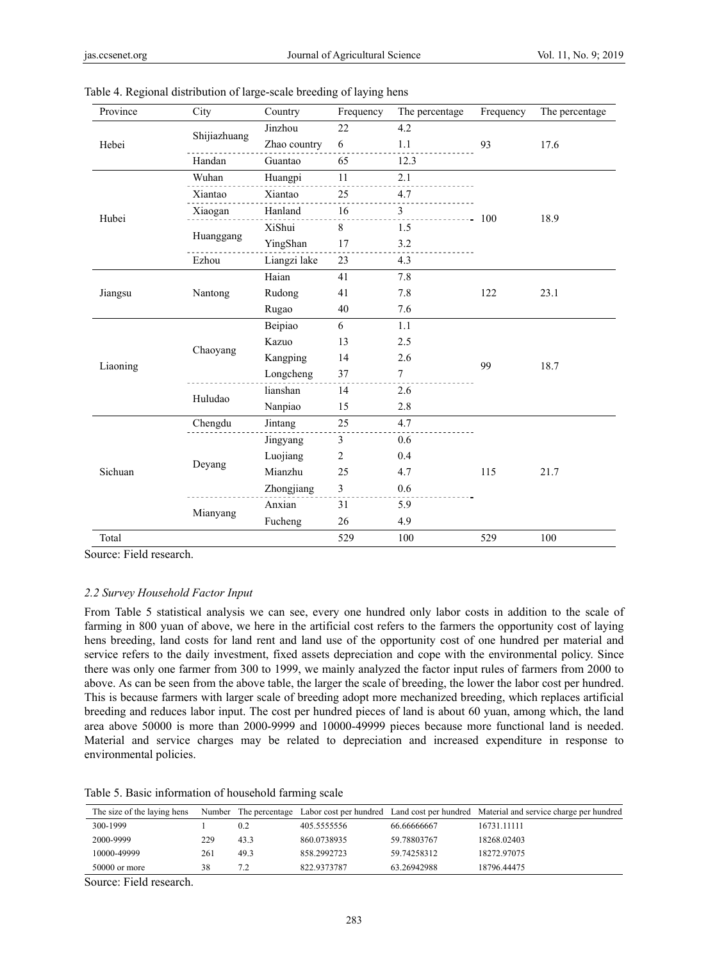| Province | City         | Country               | Frequency      | The percentage          | Frequency | The percentage |
|----------|--------------|-----------------------|----------------|-------------------------|-----------|----------------|
| Hebei    |              | Jinzhou               | 22             | 4.2                     |           | 17.6           |
|          | Shijiazhuang | Zhao country          | 6              | 1.1                     | 93        |                |
|          | Handan       | 12.3<br>Guantao<br>65 |                |                         |           |                |
|          | Wuhan        | Huangpi               | 11             | 2.1                     |           |                |
|          | Xiantao      | Xiantao               | 25             | 4.7                     |           |                |
|          | Xiaogan      | Hanland               | 16             | $\overline{\mathbf{3}}$ |           |                |
| Hubei    |              | XiShui                | 8              | 1.5                     | 100       | 18.9           |
|          | Huanggang    | YingShan              | 17             | 3.2                     |           |                |
|          | Ezhou        | Liangzi lake          | 23             | 4.3                     |           |                |
|          |              | Haian                 | 41             | 7.8                     |           | 23.1           |
| Jiangsu  | Nantong      | Rudong                | 41             | 7.8                     | 122       |                |
|          |              | Rugao                 | 40             | 7.6                     |           |                |
|          |              | Beipiao               | 6              | 1.1                     | 99        | 18.7           |
|          |              | Kazuo                 | 13             | 2.5                     |           |                |
|          | Chaoyang     | Kangping              | 14             | 2.6                     |           |                |
| Liaoning |              | Longcheng             | 37             | $\boldsymbol{7}$        |           |                |
|          | Huludao      | lianshan              | 14             | 2.6                     |           |                |
|          |              | Nanpiao               | 15             | 2.8                     |           |                |
|          | Chengdu      | Jintang               | 25             | 4.7                     |           | 21.7           |
| Sichuan  |              | Jingyang              | 3              | 0.6                     |           |                |
|          |              | Luojiang              | $\overline{2}$ | 0.4                     |           |                |
|          | Deyang       | Mianzhu               | 25             | 4.7                     | 115       |                |
|          |              | Zhongjiang            | 3              | 0.6                     |           |                |
|          |              | Anxian                | 31             | 5.9                     |           |                |
|          | Mianyang     | Fucheng               | 26             | 4.9                     |           |                |
| Total    |              |                       | 529            | 100                     | 529       | 100            |

Table 4. Regional distribution of large-scale breeding of laying hens

Source: Field research.

## *2.2 Survey Household Factor Input*

From Table 5 statistical analysis we can see, every one hundred only labor costs in addition to the scale of farming in 800 yuan of above, we here in the artificial cost refers to the farmers the opportunity cost of laying hens breeding, land costs for land rent and land use of the opportunity cost of one hundred per material and service refers to the daily investment, fixed assets depreciation and cope with the environmental policy. Since there was only one farmer from 300 to 1999, we mainly analyzed the factor input rules of farmers from 2000 to above. As can be seen from the above table, the larger the scale of breeding, the lower the labor cost per hundred. This is because farmers with larger scale of breeding adopt more mechanized breeding, which replaces artificial breeding and reduces labor input. The cost per hundred pieces of land is about 60 yuan, among which, the land area above 50000 is more than 2000-9999 and 10000-49999 pieces because more functional land is needed. Material and service charges may be related to depreciation and increased expenditure in response to environmental policies.

Table 5. Basic information of household farming scale

| The size of the laying hens |     |      |             |             | Number The percentage Labor cost per hundred Land cost per hundred Material and service charge per hundred |
|-----------------------------|-----|------|-------------|-------------|------------------------------------------------------------------------------------------------------------|
| 300-1999                    |     | 0.2  | 405.5555556 | 66.66666667 | 16731.11111                                                                                                |
| 2000-9999                   | 229 | 43.3 | 860.0738935 | 59.78803767 | 18268.02403                                                                                                |
| 10000-49999                 | 261 | 49.3 | 858.2992723 | 59.74258312 | 18272.97075                                                                                                |
| $50000$ or more             | 38  | 7.2  | 822.9373787 | 63.26942988 | 18796.44475                                                                                                |

Source: Field research.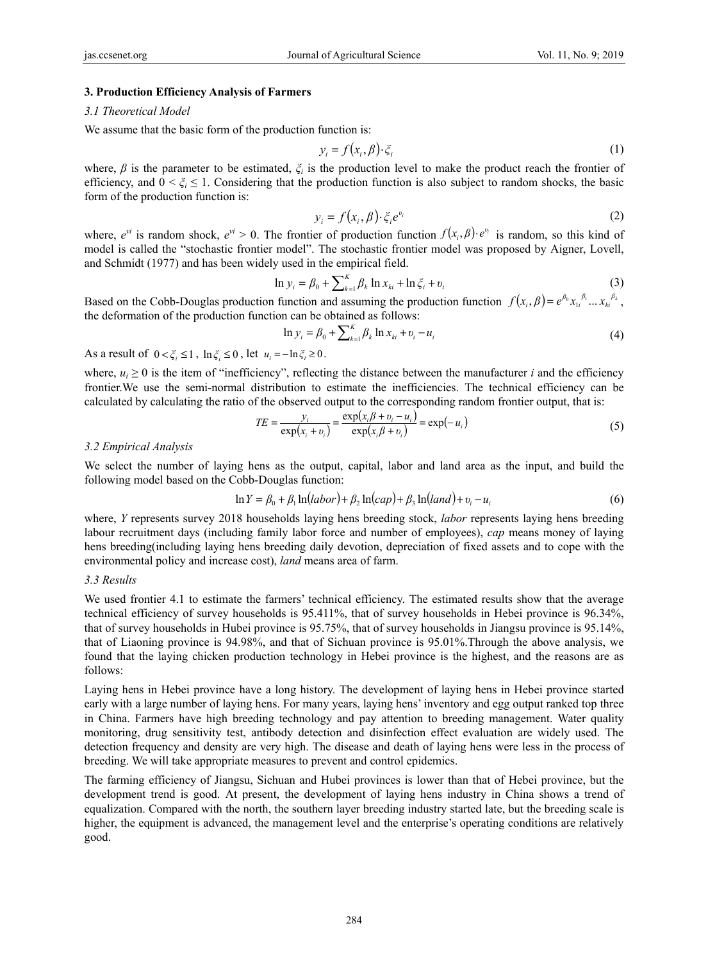#### **3. Production Efficiency Analysis of Farmers**

#### *3.1 Theoretical Model*

We assume that the basic form of the production function is:

$$
y_i = f(x_i, \beta) \cdot \xi_i \tag{1}
$$

where,  $\beta$  is the parameter to be estimated,  $\zeta$ <sup>*i*</sup> is the production level to make the product reach the frontier of efficiency, and  $0 < \zeta_i \leq 1$ . Considering that the production function is also subject to random shocks, the basic form of the production function is:

$$
y_i = f(x_i, \beta) \cdot \xi_i e^{v_i} \tag{2}
$$

where,  $e^{vi}$  is random shock,  $e^{vi} > 0$ . The frontier of production function  $f(x_i, \beta) \cdot e^{v_i}$  is random, so this kind of model is called the "stochastic frontier model". The stochastic frontier model was proposed by Aigner, Lovell, and Schmidt (1977) and has been widely used in the empirical field.

$$
\ln y_i = \beta_0 + \sum_{k=1}^{K} \beta_k \ln x_{ki} + \ln \xi_i + v_i
$$
 (3)

Based on the Cobb-Douglas production function and assuming the production function  $f(x_i, \beta) = e^{\beta_0 x_i \beta_i} ... x_k^{\beta_k}$ , the deformation of the production function can be obtained as follows:

$$
\ln y_i = \beta_0 + \sum_{k=1}^{K} \beta_k \ln x_{ki} + v_i - u_i
$$
\n(4)

As a result of  $0 < \xi_i \leq 1$ ,  $\ln \xi_i \leq 0$ , let  $u_i = -\ln \xi_i \geq 0$ .

where,  $u_i \geq 0$  is the item of "inefficiency", reflecting the distance between the manufacturer *i* and the efficiency frontier.We use the semi-normal distribution to estimate the inefficiencies. The technical efficiency can be calculated by calculating the ratio of the observed output to the corresponding random frontier output, that is:

$$
TE = \frac{y_i}{\exp(x_i + v_i)} = \frac{\exp(x_i \beta + v_i - u_i)}{\exp(x_i \beta + v_i)} = \exp(-u_i)
$$
(5)

#### *3.2 Empirical Analysis*

We select the number of laying hens as the output, capital, labor and land area as the input, and build the following model based on the Cobb-Douglas function:

$$
\ln Y = \beta_0 + \beta_1 \ln(labor) + \beta_2 \ln(cap) + \beta_3 \ln(land) + v_i - u_i
$$
\n
$$
\tag{6}
$$

where, *Y* represents survey 2018 households laying hens breeding stock, *labor* represents laying hens breeding labour recruitment days (including family labor force and number of employees), *cap* means money of laying hens breeding(including laying hens breeding daily devotion, depreciation of fixed assets and to cope with the environmental policy and increase cost), *land* means area of farm.

#### *3.3 Results*

We used frontier 4.1 to estimate the farmers' technical efficiency. The estimated results show that the average technical efficiency of survey households is 95.411%, that of survey households in Hebei province is 96.34%, that of survey households in Hubei province is 95.75%, that of survey households in Jiangsu province is 95.14%, that of Liaoning province is 94.98%, and that of Sichuan province is 95.01%.Through the above analysis, we found that the laying chicken production technology in Hebei province is the highest, and the reasons are as follows:

Laying hens in Hebei province have a long history. The development of laying hens in Hebei province started early with a large number of laying hens. For many years, laying hens' inventory and egg output ranked top three in China. Farmers have high breeding technology and pay attention to breeding management. Water quality monitoring, drug sensitivity test, antibody detection and disinfection effect evaluation are widely used. The detection frequency and density are very high. The disease and death of laying hens were less in the process of breeding. We will take appropriate measures to prevent and control epidemics.

The farming efficiency of Jiangsu, Sichuan and Hubei provinces is lower than that of Hebei province, but the development trend is good. At present, the development of laying hens industry in China shows a trend of equalization. Compared with the north, the southern layer breeding industry started late, but the breeding scale is higher, the equipment is advanced, the management level and the enterprise's operating conditions are relatively good.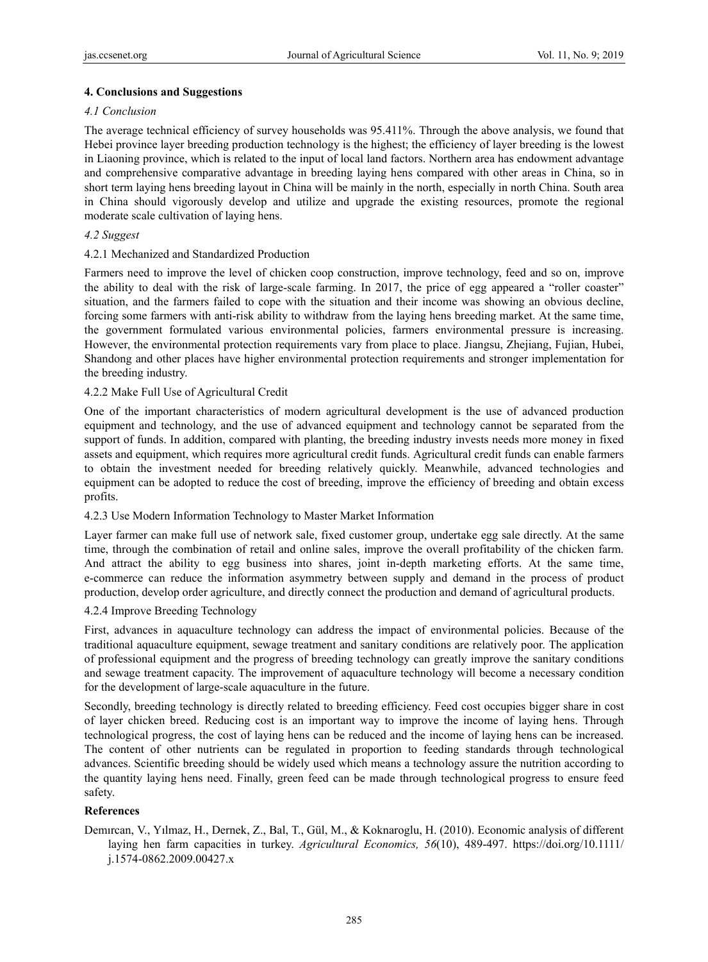## **4. Conclusions and Suggestions**

## *4.1 Conclusion*

The average technical efficiency of survey households was 95.411%. Through the above analysis, we found that Hebei province layer breeding production technology is the highest; the efficiency of layer breeding is the lowest in Liaoning province, which is related to the input of local land factors. Northern area has endowment advantage and comprehensive comparative advantage in breeding laying hens compared with other areas in China, so in short term laying hens breeding layout in China will be mainly in the north, especially in north China. South area in China should vigorously develop and utilize and upgrade the existing resources, promote the regional moderate scale cultivation of laying hens.

## *4.2 Suggest*

## 4.2.1 Mechanized and Standardized Production

Farmers need to improve the level of chicken coop construction, improve technology, feed and so on, improve the ability to deal with the risk of large-scale farming. In 2017, the price of egg appeared a "roller coaster" situation, and the farmers failed to cope with the situation and their income was showing an obvious decline, forcing some farmers with anti-risk ability to withdraw from the laying hens breeding market. At the same time, the government formulated various environmental policies, farmers environmental pressure is increasing. However, the environmental protection requirements vary from place to place. Jiangsu, Zhejiang, Fujian, Hubei, Shandong and other places have higher environmental protection requirements and stronger implementation for the breeding industry.

## 4.2.2 Make Full Use of Agricultural Credit

One of the important characteristics of modern agricultural development is the use of advanced production equipment and technology, and the use of advanced equipment and technology cannot be separated from the support of funds. In addition, compared with planting, the breeding industry invests needs more money in fixed assets and equipment, which requires more agricultural credit funds. Agricultural credit funds can enable farmers to obtain the investment needed for breeding relatively quickly. Meanwhile, advanced technologies and equipment can be adopted to reduce the cost of breeding, improve the efficiency of breeding and obtain excess profits.

## 4.2.3 Use Modern Information Technology to Master Market Information

Layer farmer can make full use of network sale, fixed customer group, undertake egg sale directly. At the same time, through the combination of retail and online sales, improve the overall profitability of the chicken farm. And attract the ability to egg business into shares, joint in-depth marketing efforts. At the same time, e-commerce can reduce the information asymmetry between supply and demand in the process of product production, develop order agriculture, and directly connect the production and demand of agricultural products.

## 4.2.4 Improve Breeding Technology

First, advances in aquaculture technology can address the impact of environmental policies. Because of the traditional aquaculture equipment, sewage treatment and sanitary conditions are relatively poor. The application of professional equipment and the progress of breeding technology can greatly improve the sanitary conditions and sewage treatment capacity. The improvement of aquaculture technology will become a necessary condition for the development of large-scale aquaculture in the future.

Secondly, breeding technology is directly related to breeding efficiency. Feed cost occupies bigger share in cost of layer chicken breed. Reducing cost is an important way to improve the income of laying hens. Through technological progress, the cost of laying hens can be reduced and the income of laying hens can be increased. The content of other nutrients can be regulated in proportion to feeding standards through technological advances. Scientific breeding should be widely used which means a technology assure the nutrition according to the quantity laying hens need. Finally, green feed can be made through technological progress to ensure feed safety.

# **References**

Demırcan, V., Yılmaz, H., Dernek, Z., Bal, T., Gül, M., & Koknaroglu, H. (2010). Economic analysis of different laying hen farm capacities in turkey. *Agricultural Economics, 56*(10), 489-497. https://doi.org/10.1111/ j.1574-0862.2009.00427.x